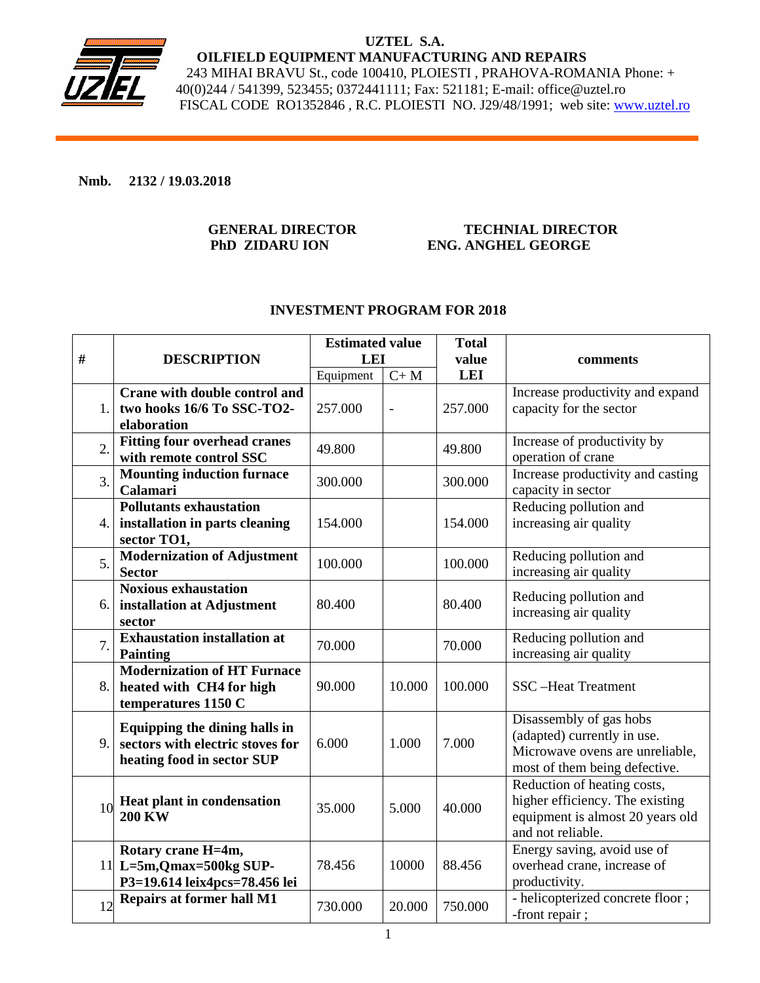

### **UZTEL S.A. OILFIELD EQUIPMENT MANUFACTURING AND REPAIRS**  243 MIHAI BRAVU St., code 100410, PLOIESTI , PRAHOVA-ROMANIA Phone: + 40(0)244 / 541399, 523455; 0372441111; Fax: 521181; E-mail: office@uztel.ro FISCAL CODE RO1352846 , R.C. PLOIESTI NO. J29/48/1991; web site: www.uztel.ro

### **Nmb. 2132 / 19.03.2018**

### **GENERAL DIRECTOR TECHNIAL DIRECTOR PhD ZIDARU ION ENG. ANGHEL GEORGE**

## **INVESTMENT PROGRAM FOR 2018**

| #                | <b>DESCRIPTION</b>                                                                              | <b>Estimated value</b><br><b>LEI</b> |                | <b>Total</b><br>value | comments                                                                                                                   |
|------------------|-------------------------------------------------------------------------------------------------|--------------------------------------|----------------|-----------------------|----------------------------------------------------------------------------------------------------------------------------|
|                  |                                                                                                 | Equipment                            | $C+M$          | <b>LEI</b>            |                                                                                                                            |
| 1.               | <b>Crane with double control and</b><br>two hooks 16/6 To SSC-TO2-<br>elaboration               | 257.000                              | $\overline{a}$ | 257.000               | Increase productivity and expand<br>capacity for the sector                                                                |
| 2.               | <b>Fitting four overhead cranes</b><br>with remote control SSC                                  | 49.800                               |                | 49.800                | Increase of productivity by<br>operation of crane                                                                          |
| $\overline{3}$ . | <b>Mounting induction furnace</b><br>Calamari                                                   | 300.000                              |                | 300.000               | Increase productivity and casting<br>capacity in sector                                                                    |
| 4.               | <b>Pollutants exhaustation</b><br>installation in parts cleaning<br>sector TO1,                 | 154.000                              |                | 154.000               | Reducing pollution and<br>increasing air quality                                                                           |
| 5.               | <b>Modernization of Adjustment</b><br><b>Sector</b>                                             | 100.000                              |                | 100.000               | Reducing pollution and<br>increasing air quality                                                                           |
| 6.1              | <b>Noxious exhaustation</b><br>installation at Adjustment<br>sector                             | 80.400                               |                | 80.400                | Reducing pollution and<br>increasing air quality                                                                           |
| 7.               | <b>Exhaustation installation at</b><br><b>Painting</b>                                          | 70.000                               |                | 70.000                | Reducing pollution and<br>increasing air quality                                                                           |
| 8.               | <b>Modernization of HT Furnace</b><br>heated with CH4 for high<br>temperatures 1150 C           | 90.000                               | 10.000         | 100.000               | <b>SSC-Heat Treatment</b>                                                                                                  |
| 9.               | Equipping the dining halls in<br>sectors with electric stoves for<br>heating food in sector SUP | 6.000                                | 1.000          | 7.000                 | Disassembly of gas hobs<br>(adapted) currently in use.<br>Microwave ovens are unreliable,<br>most of them being defective. |
| 10               | Heat plant in condensation<br><b>200 KW</b>                                                     | 35.000                               | 5.000          | 40.000                | Reduction of heating costs,<br>higher efficiency. The existing<br>equipment is almost 20 years old<br>and not reliable.    |
|                  | Rotary crane H=4m,<br>11 L=5m, Qmax=500kg SUP-<br>P3=19.614 leix4pcs=78.456 lei                 | 78.456                               | 10000          | 88.456                | Energy saving, avoid use of<br>overhead crane, increase of<br>productivity.                                                |
| 12               | <b>Repairs at former hall M1</b>                                                                | 730.000                              | 20.000         | 750.000               | - helicopterized concrete floor;<br>-front repair;                                                                         |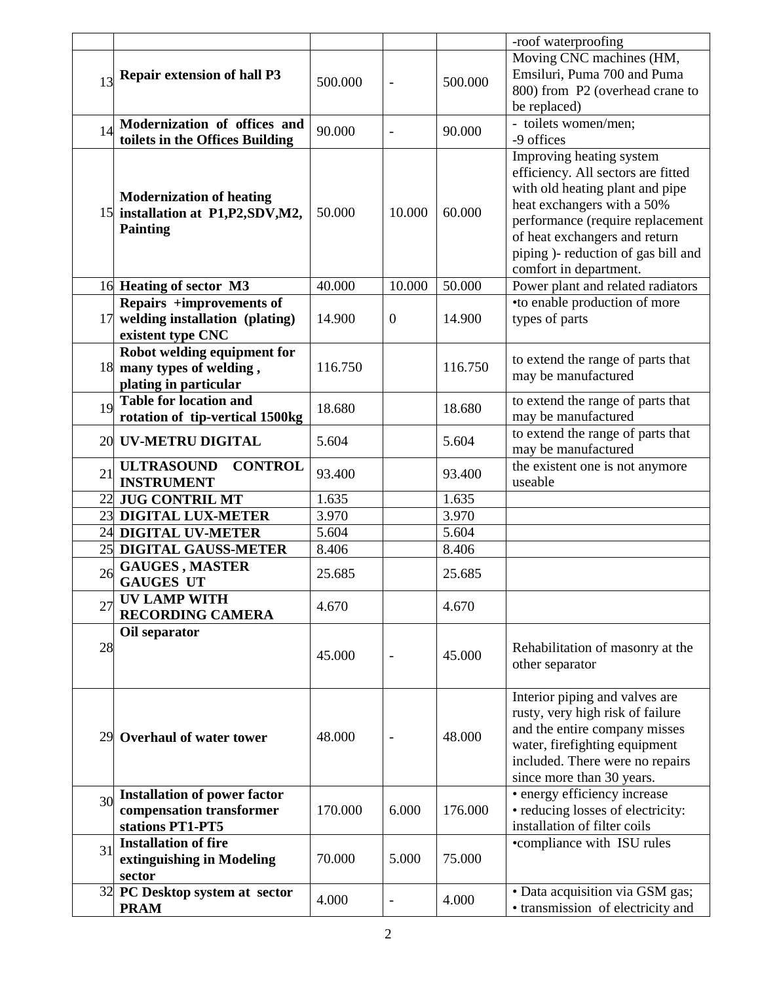|    |                                                                                        |         |                          |         | -roof waterproofing                                                                                                                                                                                                                                                   |
|----|----------------------------------------------------------------------------------------|---------|--------------------------|---------|-----------------------------------------------------------------------------------------------------------------------------------------------------------------------------------------------------------------------------------------------------------------------|
| 13 | <b>Repair extension of hall P3</b>                                                     | 500.000 | $\blacksquare$           | 500.000 | Moving CNC machines (HM,<br>Emsiluri, Puma 700 and Puma<br>800) from P2 (overhead crane to<br>be replaced)                                                                                                                                                            |
| 14 | Modernization of offices and<br>toilets in the Offices Building                        | 90.000  | $\overline{\phantom{a}}$ | 90.000  | - toilets women/men;<br>-9 offices                                                                                                                                                                                                                                    |
|    | <b>Modernization of heating</b><br>15 installation at P1,P2,SDV,M2,<br><b>Painting</b> | 50.000  | 10.000                   | 60.000  | Improving heating system<br>efficiency. All sectors are fitted<br>with old heating plant and pipe<br>heat exchangers with a 50%<br>performance (require replacement<br>of heat exchangers and return<br>piping )- reduction of gas bill and<br>comfort in department. |
|    | 16 Heating of sector M3                                                                | 40.000  | 10.000                   | 50.000  | Power plant and related radiators                                                                                                                                                                                                                                     |
| 17 | Repairs +improvements of<br>welding installation (plating)<br>existent type CNC        | 14.900  | $\mathbf{0}$             | 14.900  | •to enable production of more<br>types of parts                                                                                                                                                                                                                       |
|    | Robot welding equipment for<br>18 many types of welding,<br>plating in particular      | 116.750 |                          | 116.750 | to extend the range of parts that<br>may be manufactured                                                                                                                                                                                                              |
| 19 | <b>Table for location and</b><br>rotation of tip-vertical 1500kg                       | 18.680  |                          | 18.680  | to extend the range of parts that<br>may be manufactured                                                                                                                                                                                                              |
| 20 | <b>UV-METRU DIGITAL</b>                                                                | 5.604   |                          | 5.604   | to extend the range of parts that<br>may be manufactured                                                                                                                                                                                                              |
| 21 | <b>ULTRASOUND</b><br><b>CONTROL</b><br><b>INSTRUMENT</b>                               | 93.400  |                          | 93.400  | the existent one is not anymore<br>useable                                                                                                                                                                                                                            |
|    | 22 JUG CONTRIL MT                                                                      | 1.635   |                          | 1.635   |                                                                                                                                                                                                                                                                       |
|    | 23 DIGITAL LUX-METER                                                                   | 3.970   |                          | 3.970   |                                                                                                                                                                                                                                                                       |
|    | 24 DIGITAL UV-METER                                                                    | 5.604   |                          | 5.604   |                                                                                                                                                                                                                                                                       |
| 25 | DIGITAL GAUSS-METER                                                                    | 8.406   |                          | 8.406   |                                                                                                                                                                                                                                                                       |
| 26 | <b>GAUGES, MASTER</b><br><b>GAUGES UT</b>                                              | 25.685  |                          | 25.685  |                                                                                                                                                                                                                                                                       |
| 27 | UV LAMP WITH<br><b>RECORDING CAMERA</b>                                                | 4.670   |                          | 4.670   |                                                                                                                                                                                                                                                                       |
| 28 | Oil separator                                                                          | 45.000  | $\blacksquare$           | 45.000  | Rehabilitation of masonry at the<br>other separator                                                                                                                                                                                                                   |
|    | 29 Overhaul of water tower                                                             | 48.000  | $\blacksquare$           | 48.000  | Interior piping and valves are<br>rusty, very high risk of failure<br>and the entire company misses<br>water, firefighting equipment<br>included. There were no repairs<br>since more than 30 years.                                                                  |
| 30 | <b>Installation of power factor</b><br>compensation transformer<br>stations PT1-PT5    | 170.000 | 6.000                    | 176.000 | • energy efficiency increase<br>· reducing losses of electricity:<br>installation of filter coils                                                                                                                                                                     |
| 31 | <b>Installation of fire</b><br>extinguishing in Modeling<br>sector                     | 70.000  | 5.000                    | 75.000  | •compliance with ISU rules                                                                                                                                                                                                                                            |
|    | 32 PC Desktop system at sector<br><b>PRAM</b>                                          | 4.000   | $\overline{\phantom{a}}$ | 4.000   | · Data acquisition via GSM gas;<br>• transmission of electricity and                                                                                                                                                                                                  |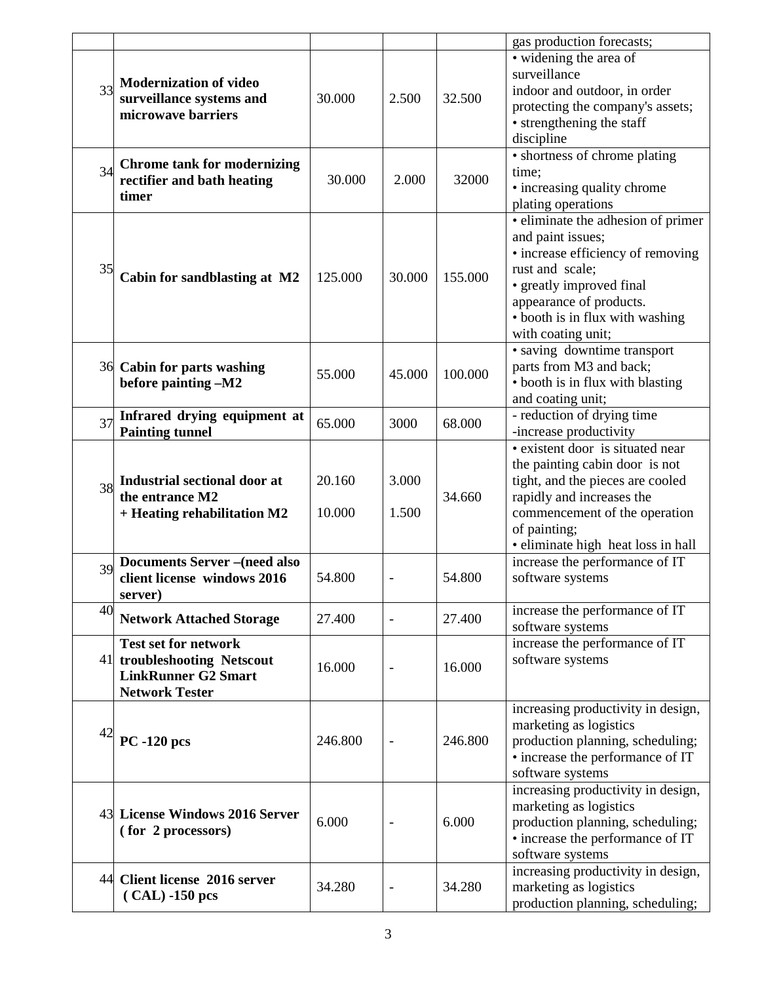|    |                                                                                                                   |                  |                              |         | gas production forecasts;                                                                                                                                                                                                       |
|----|-------------------------------------------------------------------------------------------------------------------|------------------|------------------------------|---------|---------------------------------------------------------------------------------------------------------------------------------------------------------------------------------------------------------------------------------|
| 33 | <b>Modernization of video</b><br>surveillance systems and<br>microwave barriers                                   | 30.000           | 2.500                        | 32.500  | • widening the area of<br>surveillance<br>indoor and outdoor, in order<br>protecting the company's assets;<br>• strengthening the staff<br>discipline                                                                           |
| 34 | <b>Chrome tank for modernizing</b><br>rectifier and bath heating<br>timer                                         | 30.000           | 2.000                        | 32000   | • shortness of chrome plating<br>time;<br>• increasing quality chrome<br>plating operations                                                                                                                                     |
| 35 | Cabin for sandblasting at M2                                                                                      | 125.000          | 30.000                       | 155.000 | · eliminate the adhesion of primer<br>and paint issues;<br>• increase efficiency of removing<br>rust and scale;<br>• greatly improved final<br>appearance of products.<br>· booth is in flux with washing<br>with coating unit; |
|    | 36 Cabin for parts washing<br>before painting -M2                                                                 | 55.000           | 45.000                       | 100.000 | • saving downtime transport<br>parts from M3 and back;<br>• booth is in flux with blasting<br>and coating unit;                                                                                                                 |
| 37 | Infrared drying equipment at<br><b>Painting tunnel</b>                                                            | 65.000           | 3000                         | 68.000  | - reduction of drying time<br>-increase productivity                                                                                                                                                                            |
| 38 | <b>Industrial sectional door at</b><br>the entrance M2<br>+ Heating rehabilitation M2                             | 20.160<br>10.000 | 3.000<br>1.500               | 34.660  | • existent door is situated near<br>the painting cabin door is not<br>tight, and the pieces are cooled<br>rapidly and increases the<br>commencement of the operation<br>of painting;<br>· eliminate high heat loss in hall      |
| 39 | <b>Documents Server-(need also</b><br>client license windows 2016<br>server)                                      | 54.800           | $\qquad \qquad \blacksquare$ | 54.800  | increase the performance of IT<br>software systems                                                                                                                                                                              |
| 40 | <b>Network Attached Storage</b>                                                                                   | 27.400           | $\overline{\phantom{a}}$     | 27.400  | increase the performance of IT<br>software systems                                                                                                                                                                              |
|    | <b>Test set for network</b><br>41 troubleshooting Netscout<br><b>LinkRunner G2 Smart</b><br><b>Network Tester</b> | 16.000           | $\overline{\phantom{0}}$     | 16.000  | increase the performance of IT<br>software systems                                                                                                                                                                              |
| 42 | <b>PC-120 pcs</b>                                                                                                 | 246.800          | $\overline{\phantom{a}}$     | 246.800 | increasing productivity in design,<br>marketing as logistics<br>production planning, scheduling;<br>• increase the performance of IT<br>software systems                                                                        |
|    | 43 License Windows 2016 Server<br>(for 2 processors)                                                              | 6.000            | $\overline{\phantom{0}}$     | 6.000   | increasing productivity in design,<br>marketing as logistics<br>production planning, scheduling;<br>• increase the performance of IT<br>software systems                                                                        |
|    | 44 Client license 2016 server<br>$(CAL) -150$ pcs                                                                 | 34.280           | $\blacksquare$               | 34.280  | increasing productivity in design,<br>marketing as logistics<br>production planning, scheduling;                                                                                                                                |